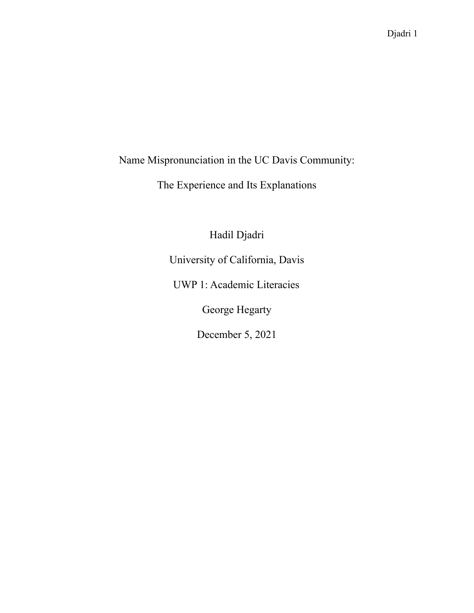Name Mispronunciation in the UC Davis Community:

The Experience and Its Explanations

Hadil Djadri

University of California, Davis

UWP 1: Academic Literacies

George Hegarty

December 5, 2021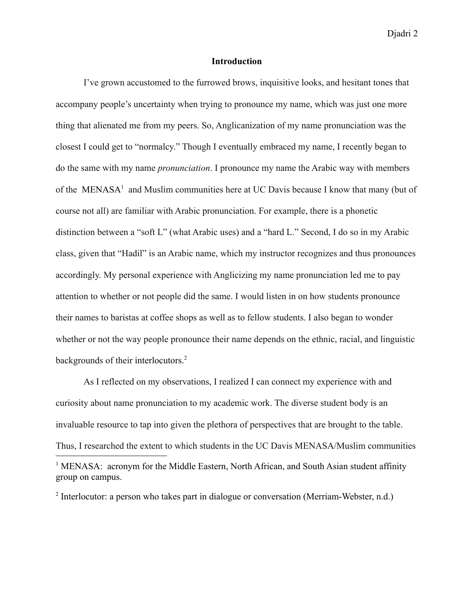### **Introduction**

I've grown accustomed to the furrowed brows, inquisitive looks, and hesitant tones that accompany people's uncertainty when trying to pronounce my name, which was just one more thing that alienated me from my peers. So, Anglicanization of my name pronunciation was the closest I could get to "normalcy." Though I eventually embraced my name, I recently began to do the same with my name *pronunciation*. I pronounce my name the Arabic way with members of the MENASA<sup>1</sup> and Muslim communities here at UC Davis because I know that many (but of course not all) are familiar with Arabic pronunciation. For example, there is a phonetic distinction between a "soft L" (what Arabic uses) and a "hard L." Second, I do so in my Arabic class, given that "Hadil" is an Arabic name, which my instructor recognizes and thus pronounces accordingly. My personal experience with Anglicizing my name pronunciation led me to pay attention to whether or not people did the same. I would listen in on how students pronounce their names to baristas at coffee shops as well as to fellow students. I also began to wonder whether or not the way people pronounce their name depends on the ethnic, racial, and linguistic backgrounds of their interlocutors.<sup>2</sup>

As I reflected on my observations, I realized I can connect my experience with and curiosity about name pronunciation to my academic work. The diverse student body is an invaluable resource to tap into given the plethora of perspectives that are brought to the table. Thus, I researched the extent to which students in the UC Davis MENASA/Muslim communities <sup>1</sup> MENASA: acronym for the Middle Eastern, North African, and South Asian student affinity group on campus.

<sup>2</sup> Interlocutor: a person who takes part in dialogue or conversation (Merriam-Webster, n.d.)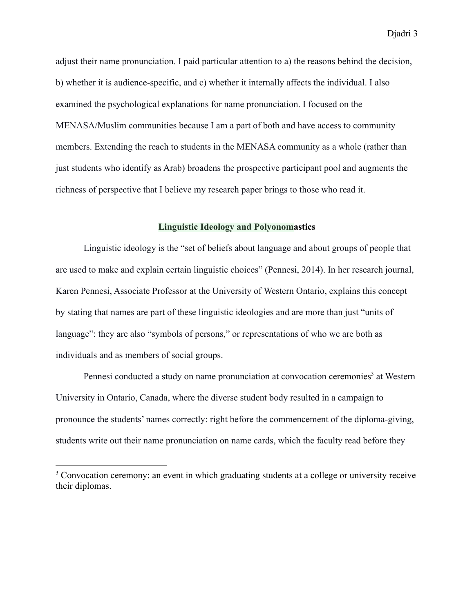adjust their name pronunciation. I paid particular attention to a) the reasons behind the decision, b) whether it is audience-specific, and c) whether it internally affects the individual. I also examined the psychological explanations for name pronunciation. I focused on the MENASA/Muslim communities because I am a part of both and have access to community members. Extending the reach to students in the MENASA community as a whole (rather than just students who identify as Arab) broadens the prospective participant pool and augments the richness of perspective that I believe my research paper brings to those who read it.

# **Linguistic Ideology and Polyonomastics**

Linguistic ideology is the "set of beliefs about language and about groups of people that are used to make and explain certain linguistic choices" (Pennesi, 2014). In her research journal, Karen Pennesi, Associate Professor at the University of Western Ontario, explains this concept by stating that names are part of these linguistic ideologies and are more than just "units of language": they are also "symbols of persons," or representations of who we are both as individuals and as members of social groups.

Pennesi conducted a study on name pronunciation at convocation ceremonies<sup>3</sup> at Western University in Ontario, Canada, where the diverse student body resulted in a campaign to pronounce the students' names correctly: right before the commencement of the diploma-giving, students write out their name pronunciation on name cards, which the faculty read before they

<sup>&</sup>lt;sup>3</sup> Convocation ceremony: an event in which graduating students at a college or university receive their diplomas.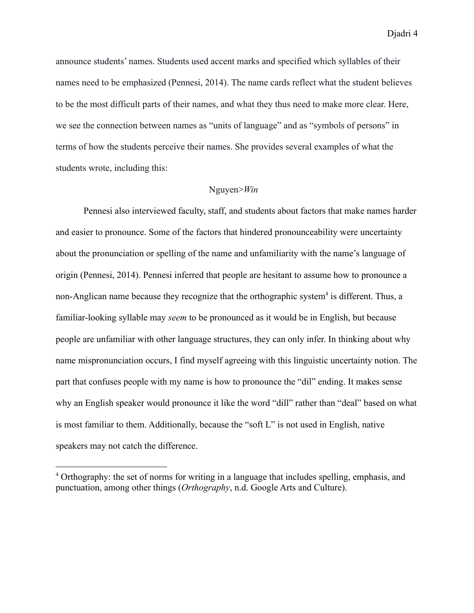announce students' names. Students used accent marks and specified which syllables of their names need to be emphasized (Pennesi, 2014). The name cards reflect what the student believes to be the most difficult parts of their names, and what they thus need to make more clear. Here, we see the connection between names as "units of language" and as "symbols of persons" in terms of how the students perceive their names. She provides several examples of what the students wrote, including this:

# Nguyen>*Win*

Pennesi also interviewed faculty, staff, and students about factors that make names harder and easier to pronounce. Some of the factors that hindered pronounceability were uncertainty about the pronunciation or spelling of the name and unfamiliarity with the name's language of origin (Pennesi, 2014). Pennesi inferred that people are hesitant to assume how to pronounce a non-Anglican name because they recognize that the orthographic system<sup>4</sup> is different. Thus, a familiar-looking syllable may *seem* to be pronounced as it would be in English, but because people are unfamiliar with other language structures, they can only infer. In thinking about why name mispronunciation occurs, I find myself agreeing with this linguistic uncertainty notion. The part that confuses people with my name is how to pronounce the "dil" ending. It makes sense why an English speaker would pronounce it like the word "dill" rather than "deal" based on what is most familiar to them. Additionally, because the "soft L" is not used in English, native speakers may not catch the difference.

<sup>&</sup>lt;sup>4</sup> Orthography: the set of norms for writing in a language that includes spelling, emphasis, and punctuation, among other things (*Orthography*, n.d. Google Arts and Culture).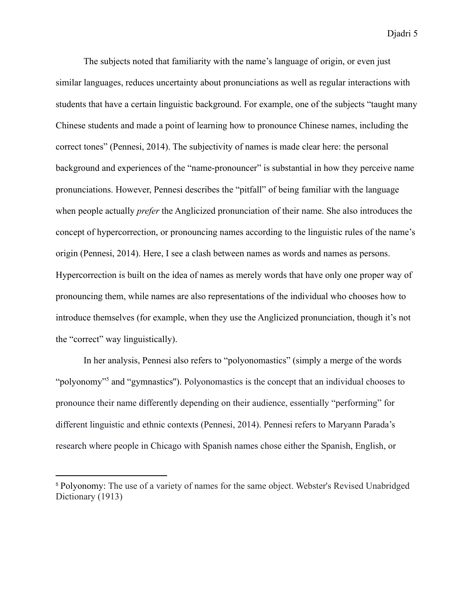The subjects noted that familiarity with the name's language of origin, or even just similar languages, reduces uncertainty about pronunciations as well as regular interactions with students that have a certain linguistic background. For example, one of the subjects "taught many Chinese students and made a point of learning how to pronounce Chinese names, including the correct tones" (Pennesi, 2014). The subjectivity of names is made clear here: the personal background and experiences of the "name-pronouncer" is substantial in how they perceive name pronunciations. However, Pennesi describes the "pitfall" of being familiar with the language when people actually *prefer* the Anglicized pronunciation of their name. She also introduces the concept of hypercorrection, or pronouncing names according to the linguistic rules of the name's origin (Pennesi, 2014). Here, I see a clash between names as words and names as persons. Hypercorrection is built on the idea of names as merely words that have only one proper way of pronouncing them, while names are also representations of the individual who chooses how to introduce themselves (for example, when they use the Anglicized pronunciation, though it's not the "correct" way linguistically).

In her analysis, Pennesi also refers to "polyonomastics" (simply a merge of the words "polyonomy"<sup>5</sup> and "gymnastics''). Polyonomastics is the concept that an individual chooses to pronounce their name differently depending on their audience, essentially "performing" for different linguistic and ethnic contexts (Pennesi, 2014). Pennesi refers to Maryann Parada's research where people in Chicago with Spanish names chose either the Spanish, English, or

<sup>5</sup> Polyonomy: The use of a variety of names for the same object. Webster's Revised Unabridged Dictionary (1913)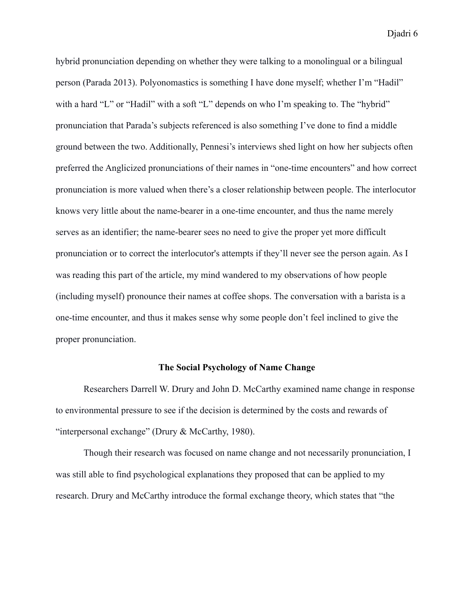hybrid pronunciation depending on whether they were talking to a monolingual or a bilingual person (Parada 2013). Polyonomastics is something I have done myself; whether I'm "Hadil" with a hard "L" or "Hadil" with a soft "L" depends on who I'm speaking to. The "hybrid" pronunciation that Parada's subjects referenced is also something I've done to find a middle ground between the two. Additionally, Pennesi's interviews shed light on how her subjects often preferred the Anglicized pronunciations of their names in "one-time encounters" and how correct pronunciation is more valued when there's a closer relationship between people. The interlocutor knows very little about the name-bearer in a one-time encounter, and thus the name merely serves as an identifier; the name-bearer sees no need to give the proper yet more difficult pronunciation or to correct the interlocutor's attempts if they'll never see the person again. As I was reading this part of the article, my mind wandered to my observations of how people (including myself) pronounce their names at coffee shops. The conversation with a barista is a one-time encounter, and thus it makes sense why some people don't feel inclined to give the proper pronunciation.

### **The Social Psychology of Name Change**

Researchers Darrell W. Drury and John D. McCarthy examined name change in response to environmental pressure to see if the decision is determined by the costs and rewards of "interpersonal exchange" (Drury & McCarthy, 1980).

Though their research was focused on name change and not necessarily pronunciation, I was still able to find psychological explanations they proposed that can be applied to my research. Drury and McCarthy introduce the formal exchange theory, which states that "the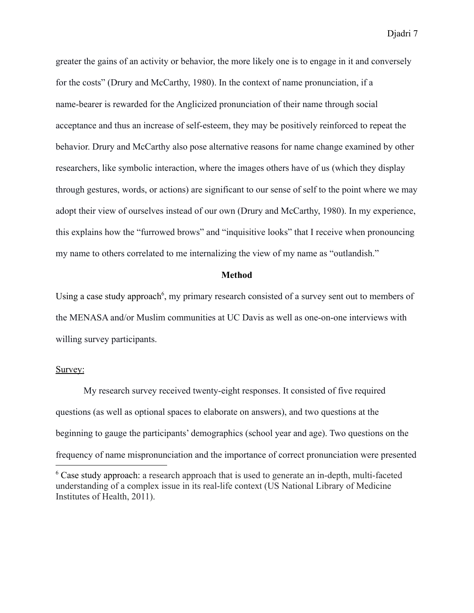greater the gains of an activity or behavior, the more likely one is to engage in it and conversely for the costs" (Drury and McCarthy, 1980). In the context of name pronunciation, if a name-bearer is rewarded for the Anglicized pronunciation of their name through social acceptance and thus an increase of self-esteem, they may be positively reinforced to repeat the behavior. Drury and McCarthy also pose alternative reasons for name change examined by other researchers, like symbolic interaction, where the images others have of us (which they display through gestures, words, or actions) are significant to our sense of self to the point where we may adopt their view of ourselves instead of our own (Drury and McCarthy, 1980). In my experience, this explains how the "furrowed brows" and "inquisitive looks" that I receive when pronouncing my name to others correlated to me internalizing the view of my name as "outlandish."

### **Method**

Using a case study approach<sup>6</sup>, my primary research consisted of a survey sent out to members of the MENASA and/or Muslim communities at UC Davis as well as one-on-one interviews with willing survey participants.

#### Survey:

My research survey received twenty-eight responses. It consisted of five required questions (as well as optional spaces to elaborate on answers), and two questions at the beginning to gauge the participants' demographics (school year and age). Two questions on the frequency of name mispronunciation and the importance of correct pronunciation were presented

<sup>&</sup>lt;sup>6</sup> Case study approach: a research approach that is used to generate an in-depth, multi-faceted understanding of a complex issue in its real-life context (US National Library of Medicine Institutes of Health, 2011).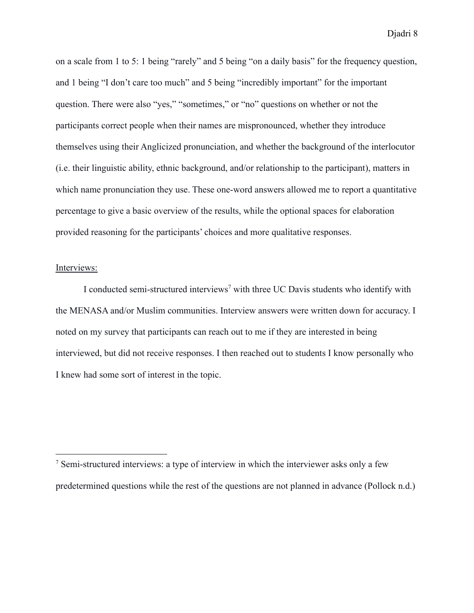on a scale from 1 to 5: 1 being "rarely" and 5 being "on a daily basis" for the frequency question, and 1 being "I don't care too much" and 5 being "incredibly important" for the important question. There were also "yes," "sometimes," or "no" questions on whether or not the participants correct people when their names are mispronounced, whether they introduce themselves using their Anglicized pronunciation, and whether the background of the interlocutor (i.e. their linguistic ability, ethnic background, and/or relationship to the participant), matters in which name pronunciation they use. These one-word answers allowed me to report a quantitative percentage to give a basic overview of the results, while the optional spaces for elaboration provided reasoning for the participants' choices and more qualitative responses.

# Interviews:

I conducted semi-structured interviews<sup>7</sup> with three UC Davis students who identify with the MENASA and/or Muslim communities. Interview answers were written down for accuracy. I noted on my survey that participants can reach out to me if they are interested in being interviewed, but did not receive responses. I then reached out to students I know personally who I knew had some sort of interest in the topic.

<sup>7</sup> Semi-structured interviews: a type of interview in which the interviewer asks only a few predetermined questions while the rest of the questions are not planned in advance (Pollock n.d.)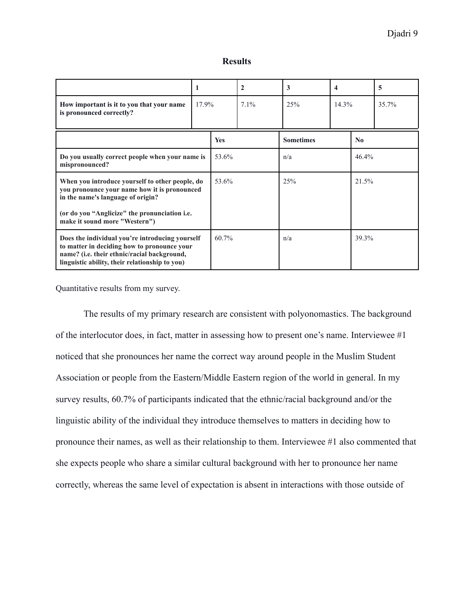|                                                                                                                                                                                                 |       |       | $\mathbf{2}$ | 3                | 4        |                        | 5     |
|-------------------------------------------------------------------------------------------------------------------------------------------------------------------------------------------------|-------|-------|--------------|------------------|----------|------------------------|-------|
| How important is it to you that your name<br>is pronounced correctly?                                                                                                                           | 17.9% |       | $7.1\%$      | 25%              | $14.3\%$ |                        | 35.7% |
|                                                                                                                                                                                                 |       | Yes   |              | <b>Sometimes</b> |          | $\mathbf{N}\mathbf{0}$ |       |
| Do you usually correct people when your name is<br>mispronounced?                                                                                                                               |       | 53.6% |              | n/a              |          | 46.4%                  |       |
| When you introduce yourself to other people, do<br>you pronounce your name how it is pronounced<br>in the name's language of origin?                                                            |       | 53.6% |              | 25%              |          | 21.5%                  |       |
| (or do you "Anglicize" the pronunciation i.e.<br>make it sound more "Western")                                                                                                                  |       |       |              |                  |          |                        |       |
| Does the individual you're introducing yourself<br>to matter in deciding how to pronounce your<br>name? (i.e. their ethnic/racial background,<br>linguistic ability, their relationship to you) |       | 60.7% |              | n/a              |          | 39.3%                  |       |

Quantitative results from my survey.

The results of my primary research are consistent with polyonomastics. The background of the interlocutor does, in fact, matter in assessing how to present one's name. Interviewee #1 noticed that she pronounces her name the correct way around people in the Muslim Student Association or people from the Eastern/Middle Eastern region of the world in general. In my survey results, 60.7% of participants indicated that the ethnic/racial background and/or the linguistic ability of the individual they introduce themselves to matters in deciding how to pronounce their names, as well as their relationship to them. Interviewee #1 also commented that she expects people who share a similar cultural background with her to pronounce her name correctly, whereas the same level of expectation is absent in interactions with those outside of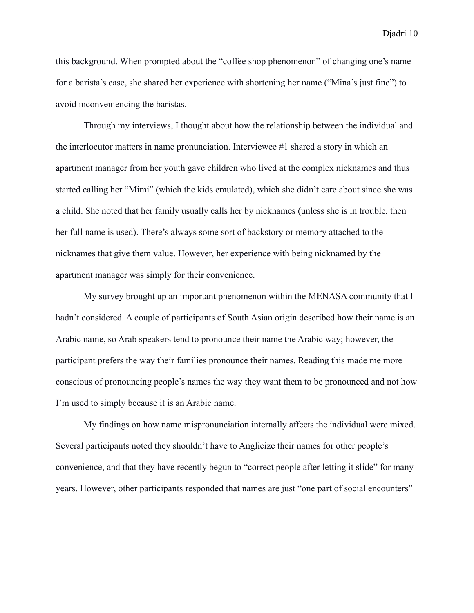this background. When prompted about the "coffee shop phenomenon" of changing one's name for a barista's ease, she shared her experience with shortening her name ("Mina's just fine") to avoid inconveniencing the baristas.

Through my interviews, I thought about how the relationship between the individual and the interlocutor matters in name pronunciation. Interviewee #1 shared a story in which an apartment manager from her youth gave children who lived at the complex nicknames and thus started calling her "Mimi" (which the kids emulated), which she didn't care about since she was a child. She noted that her family usually calls her by nicknames (unless she is in trouble, then her full name is used). There's always some sort of backstory or memory attached to the nicknames that give them value. However, her experience with being nicknamed by the apartment manager was simply for their convenience.

My survey brought up an important phenomenon within the MENASA community that I hadn't considered. A couple of participants of South Asian origin described how their name is an Arabic name, so Arab speakers tend to pronounce their name the Arabic way; however, the participant prefers the way their families pronounce their names. Reading this made me more conscious of pronouncing people's names the way they want them to be pronounced and not how I'm used to simply because it is an Arabic name.

My findings on how name mispronunciation internally affects the individual were mixed. Several participants noted they shouldn't have to Anglicize their names for other people's convenience, and that they have recently begun to "correct people after letting it slide" for many years. However, other participants responded that names are just "one part of social encounters"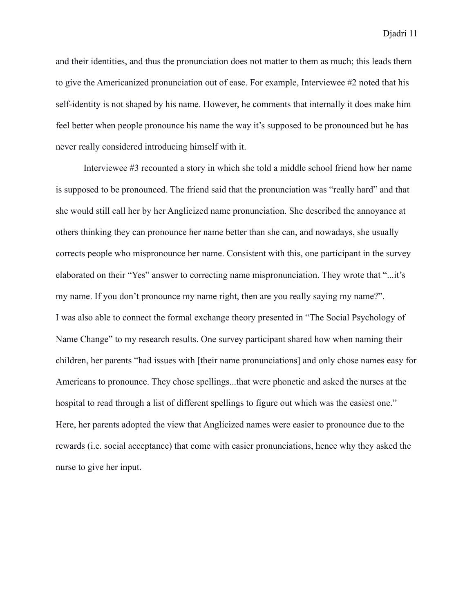and their identities, and thus the pronunciation does not matter to them as much; this leads them to give the Americanized pronunciation out of ease. For example, Interviewee #2 noted that his self-identity is not shaped by his name. However, he comments that internally it does make him feel better when people pronounce his name the way it's supposed to be pronounced but he has never really considered introducing himself with it.

Interviewee #3 recounted a story in which she told a middle school friend how her name is supposed to be pronounced. The friend said that the pronunciation was "really hard" and that she would still call her by her Anglicized name pronunciation. She described the annoyance at others thinking they can pronounce her name better than she can, and nowadays, she usually corrects people who mispronounce her name. Consistent with this, one participant in the survey elaborated on their "Yes" answer to correcting name mispronunciation. They wrote that "...it's my name. If you don't pronounce my name right, then are you really saying my name?". I was also able to connect the formal exchange theory presented in "The Social Psychology of Name Change" to my research results. One survey participant shared how when naming their children, her parents "had issues with [their name pronunciations] and only chose names easy for Americans to pronounce. They chose spellings...that were phonetic and asked the nurses at the hospital to read through a list of different spellings to figure out which was the easiest one." Here, her parents adopted the view that Anglicized names were easier to pronounce due to the rewards (i.e. social acceptance) that come with easier pronunciations, hence why they asked the nurse to give her input.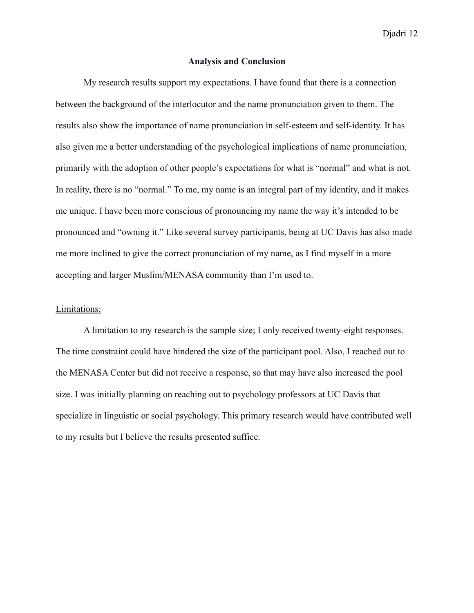### **Analysis and Conclusion**

My research results support my expectations. I have found that there is a connection between the background of the interlocutor and the name pronunciation given to them. The results also show the importance of name pronunciation in self-esteem and self-identity. It has also given me a better understanding of the psychological implications of name pronunciation, primarily with the adoption of other people's expectations for what is "normal" and what is not. In reality, there is no "normal." To me, my name is an integral part of my identity, and it makes me unique. I have been more conscious of pronouncing my name the way it's intended to be pronounced and "owning it." Like several survey participants, being at UC Davis has also made me more inclined to give the correct pronunciation of my name, as I find myself in a more accepting and larger Muslim/MENASA community than I'm used to.

# Limitations:

A limitation to my research is the sample size; I only received twenty-eight responses. The time constraint could have hindered the size of the participant pool. Also, I reached out to the MENASA Center but did not receive a response, so that may have also increased the pool size. I was initially planning on reaching out to psychology professors at UC Davis that specialize in linguistic or social psychology. This primary research would have contributed well to my results but I believe the results presented suffice.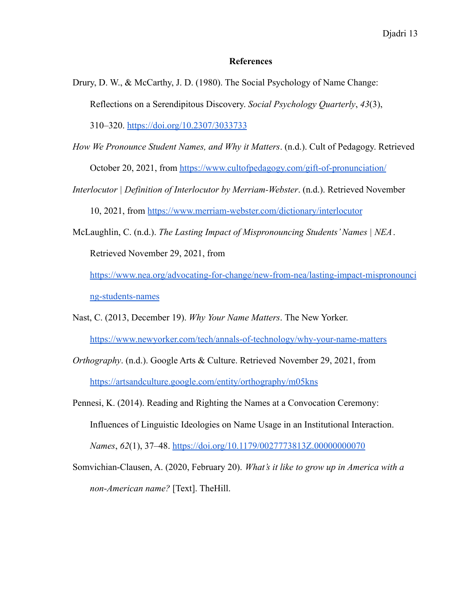# **References**

Drury, D. W., & McCarthy, J. D. (1980). The Social Psychology of Name Change: Reflections on a Serendipitous Discovery. *Social Psychology Quarterly*, *43*(3),

310–320. <https://doi.org/10.2307/3033733>

*How We Pronounce Student Names, and Why it Matters*. (n.d.). Cult of Pedagogy. Retrieved

October 20, 2021, from <https://www.cultofpedagogy.com/gift-of-pronunciation/>

*Interlocutor | Definition of Interlocutor by Merriam-Webster*. (n.d.). Retrieved November

10, 2021, from <https://www.merriam-webster.com/dictionary/interlocutor>

McLaughlin, C. (n.d.). *The Lasting Impact of Mispronouncing Students' Names | NEA*.

Retrieved November 29, 2021, from

[https://www.nea.org/advocating-for-change/new-from-nea/lasting-impact-mispronounci](https://www.nea.org/advocating-for-change/new-from-nea/lasting-impact-mispronouncing-students-names) [ng-students-names](https://www.nea.org/advocating-for-change/new-from-nea/lasting-impact-mispronouncing-students-names)

- Nast, C. (2013, December 19). *Why Your Name Matters*. The New Yorker. <https://www.newyorker.com/tech/annals-of-technology/why-your-name-matters>
- *Orthography*. (n.d.). Google Arts & Culture. Retrieved November 29, 2021, fro[m](https://artsandculture.google.com/entity/orthography/m05kns) <https://artsandculture.google.com/entity/orthography/m05kns>
- Pennesi, K. (2014). Reading and Righting the Names at a Convocation Ceremony: Influences of Linguistic Ideologies on Name Usage in an Institutional Interaction. *Names*, *62*(1), 37–48. <https://doi.org/10.1179/0027773813Z.00000000070>
- Somvichian-Clausen, A. (2020, February 20). *What's it like to grow up in America with a non-American name?* [Text]. TheHill[.](https://thehill.com/changing-america/respect/diversity-inclusion/483720-the-struggle-of-growing-up-in-america-with-a-non)